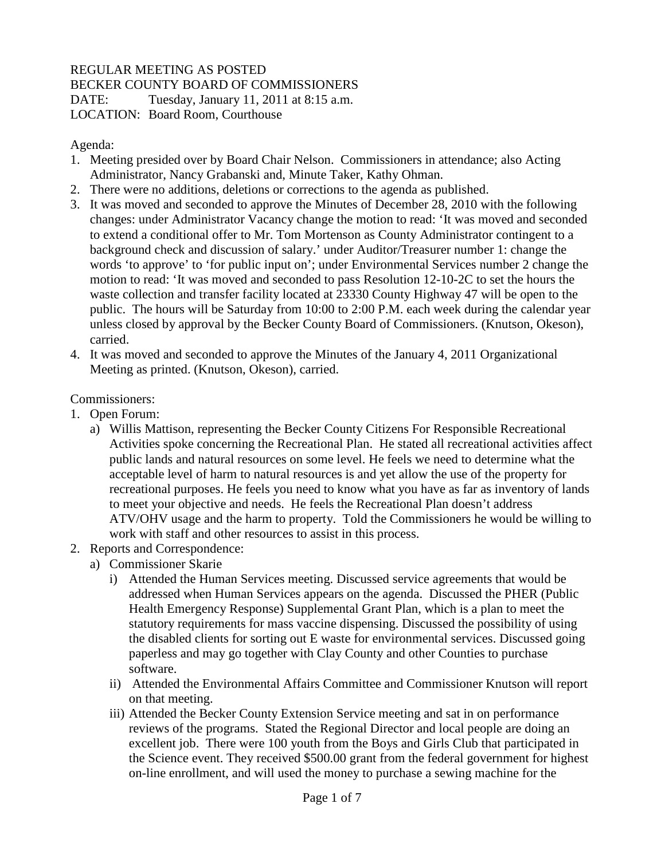## REGULAR MEETING AS POSTED BECKER COUNTY BOARD OF COMMISSIONERS DATE: Tuesday, January 11, 2011 at 8:15 a.m. LOCATION: Board Room, Courthouse

Agenda:

- 1. Meeting presided over by Board Chair Nelson. Commissioners in attendance; also Acting Administrator, Nancy Grabanski and, Minute Taker, Kathy Ohman.
- 2. There were no additions, deletions or corrections to the agenda as published.
- 3. It was moved and seconded to approve the Minutes of December 28, 2010 with the following changes: under Administrator Vacancy change the motion to read: 'It was moved and seconded to extend a conditional offer to Mr. Tom Mortenson as County Administrator contingent to a background check and discussion of salary.' under Auditor/Treasurer number 1: change the words 'to approve' to 'for public input on'; under Environmental Services number 2 change the motion to read: 'It was moved and seconded to pass Resolution 12-10-2C to set the hours the waste collection and transfer facility located at 23330 County Highway 47 will be open to the public. The hours will be Saturday from 10:00 to 2:00 P.M. each week during the calendar year unless closed by approval by the Becker County Board of Commissioners. (Knutson, Okeson), carried.
- 4. It was moved and seconded to approve the Minutes of the January 4, 2011 Organizational Meeting as printed. (Knutson, Okeson), carried.

Commissioners:

- 1. Open Forum:
	- a) Willis Mattison, representing the Becker County Citizens For Responsible Recreational Activities spoke concerning the Recreational Plan. He stated all recreational activities affect public lands and natural resources on some level. He feels we need to determine what the acceptable level of harm to natural resources is and yet allow the use of the property for recreational purposes. He feels you need to know what you have as far as inventory of lands to meet your objective and needs. He feels the Recreational Plan doesn't address ATV/OHV usage and the harm to property. Told the Commissioners he would be willing to work with staff and other resources to assist in this process.
- 2. Reports and Correspondence:
	- a) Commissioner Skarie
		- i) Attended the Human Services meeting. Discussed service agreements that would be addressed when Human Services appears on the agenda. Discussed the PHER (Public Health Emergency Response) Supplemental Grant Plan, which is a plan to meet the statutory requirements for mass vaccine dispensing. Discussed the possibility of using the disabled clients for sorting out E waste for environmental services. Discussed going paperless and may go together with Clay County and other Counties to purchase software.
		- ii) Attended the Environmental Affairs Committee and Commissioner Knutson will report on that meeting.
		- iii) Attended the Becker County Extension Service meeting and sat in on performance reviews of the programs. Stated the Regional Director and local people are doing an excellent job. There were 100 youth from the Boys and Girls Club that participated in the Science event. They received \$500.00 grant from the federal government for highest on-line enrollment, and will used the money to purchase a sewing machine for the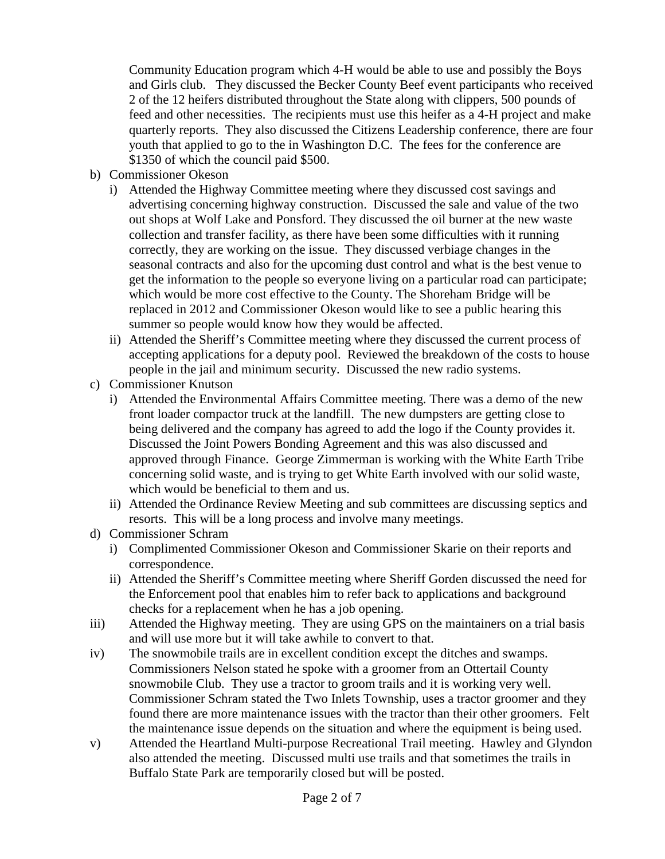Community Education program which 4-H would be able to use and possibly the Boys and Girls club. They discussed the Becker County Beef event participants who received 2 of the 12 heifers distributed throughout the State along with clippers, 500 pounds of feed and other necessities. The recipients must use this heifer as a 4-H project and make quarterly reports. They also discussed the Citizens Leadership conference, there are four youth that applied to go to the in Washington D.C. The fees for the conference are \$1350 of which the council paid \$500.

- b) Commissioner Okeson
	- i) Attended the Highway Committee meeting where they discussed cost savings and advertising concerning highway construction. Discussed the sale and value of the two out shops at Wolf Lake and Ponsford. They discussed the oil burner at the new waste collection and transfer facility, as there have been some difficulties with it running correctly, they are working on the issue. They discussed verbiage changes in the seasonal contracts and also for the upcoming dust control and what is the best venue to get the information to the people so everyone living on a particular road can participate; which would be more cost effective to the County. The Shoreham Bridge will be replaced in 2012 and Commissioner Okeson would like to see a public hearing this summer so people would know how they would be affected.
	- ii) Attended the Sheriff's Committee meeting where they discussed the current process of accepting applications for a deputy pool. Reviewed the breakdown of the costs to house people in the jail and minimum security. Discussed the new radio systems.
- c) Commissioner Knutson
	- i) Attended the Environmental Affairs Committee meeting. There was a demo of the new front loader compactor truck at the landfill. The new dumpsters are getting close to being delivered and the company has agreed to add the logo if the County provides it. Discussed the Joint Powers Bonding Agreement and this was also discussed and approved through Finance. George Zimmerman is working with the White Earth Tribe concerning solid waste, and is trying to get White Earth involved with our solid waste, which would be beneficial to them and us.
	- ii) Attended the Ordinance Review Meeting and sub committees are discussing septics and resorts. This will be a long process and involve many meetings.
- d) Commissioner Schram
	- i) Complimented Commissioner Okeson and Commissioner Skarie on their reports and correspondence.
	- ii) Attended the Sheriff's Committee meeting where Sheriff Gorden discussed the need for the Enforcement pool that enables him to refer back to applications and background checks for a replacement when he has a job opening.
- iii) Attended the Highway meeting. They are using GPS on the maintainers on a trial basis and will use more but it will take awhile to convert to that.
- iv) The snowmobile trails are in excellent condition except the ditches and swamps. Commissioners Nelson stated he spoke with a groomer from an Ottertail County snowmobile Club. They use a tractor to groom trails and it is working very well. Commissioner Schram stated the Two Inlets Township, uses a tractor groomer and they found there are more maintenance issues with the tractor than their other groomers. Felt the maintenance issue depends on the situation and where the equipment is being used.
- v) Attended the Heartland Multi-purpose Recreational Trail meeting. Hawley and Glyndon also attended the meeting. Discussed multi use trails and that sometimes the trails in Buffalo State Park are temporarily closed but will be posted.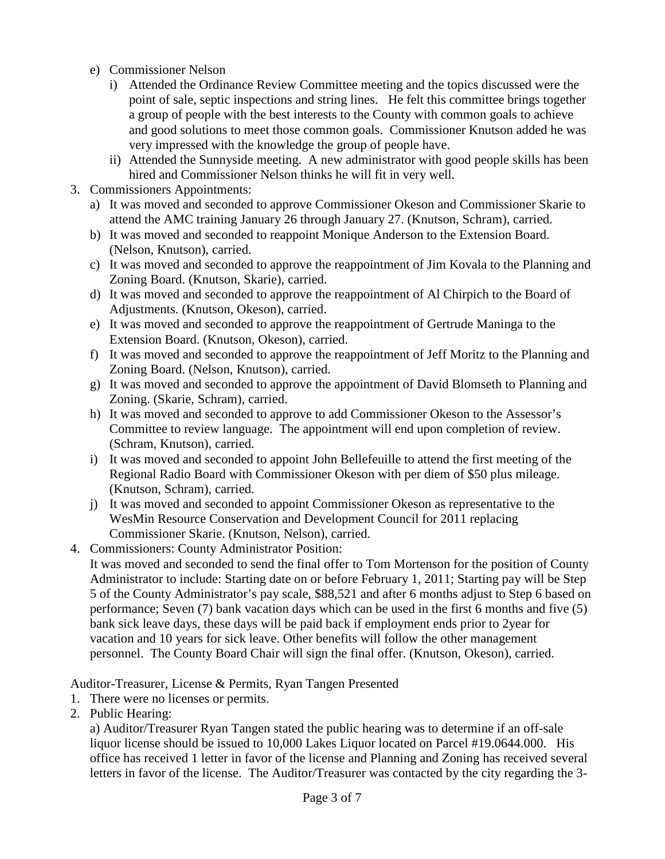- e) Commissioner Nelson
	- i) Attended the Ordinance Review Committee meeting and the topics discussed were the point of sale, septic inspections and string lines. He felt this committee brings together a group of people with the best interests to the County with common goals to achieve and good solutions to meet those common goals. Commissioner Knutson added he was very impressed with the knowledge the group of people have.
	- ii) Attended the Sunnyside meeting. A new administrator with good people skills has been hired and Commissioner Nelson thinks he will fit in very well.
- 3. Commissioners Appointments:
	- a) It was moved and seconded to approve Commissioner Okeson and Commissioner Skarie to attend the AMC training January 26 through January 27. (Knutson, Schram), carried.
	- b) It was moved and seconded to reappoint Monique Anderson to the Extension Board. (Nelson, Knutson), carried.
	- c) It was moved and seconded to approve the reappointment of Jim Kovala to the Planning and Zoning Board. (Knutson, Skarie), carried.
	- d) It was moved and seconded to approve the reappointment of Al Chirpich to the Board of Adjustments. (Knutson, Okeson), carried.
	- e) It was moved and seconded to approve the reappointment of Gertrude Maninga to the Extension Board. (Knutson, Okeson), carried.
	- f) It was moved and seconded to approve the reappointment of Jeff Moritz to the Planning and Zoning Board. (Nelson, Knutson), carried.
	- g) It was moved and seconded to approve the appointment of David Blomseth to Planning and Zoning. (Skarie, Schram), carried.
	- h) It was moved and seconded to approve to add Commissioner Okeson to the Assessor's Committee to review language. The appointment will end upon completion of review. (Schram, Knutson), carried.
	- i) It was moved and seconded to appoint John Bellefeuille to attend the first meeting of the Regional Radio Board with Commissioner Okeson with per diem of \$50 plus mileage. (Knutson, Schram), carried.
	- j) It was moved and seconded to appoint Commissioner Okeson as representative to the WesMin Resource Conservation and Development Council for 2011 replacing Commissioner Skarie. (Knutson, Nelson), carried.
- 4. Commissioners: County Administrator Position:
	- It was moved and seconded to send the final offer to Tom Mortenson for the position of County Administrator to include: Starting date on or before February 1, 2011; Starting pay will be Step 5 of the County Administrator's pay scale, \$88,521 and after 6 months adjust to Step 6 based on performance; Seven (7) bank vacation days which can be used in the first 6 months and five (5) bank sick leave days, these days will be paid back if employment ends prior to 2year for vacation and 10 years for sick leave. Other benefits will follow the other management personnel. The County Board Chair will sign the final offer. (Knutson, Okeson), carried.

## Auditor-Treasurer, License & Permits, Ryan Tangen Presented

- 1. There were no licenses or permits.
- 2. Public Hearing:

a) Auditor/Treasurer Ryan Tangen stated the public hearing was to determine if an off-sale liquor license should be issued to 10,000 Lakes Liquor located on Parcel #19.0644.000. His office has received 1 letter in favor of the license and Planning and Zoning has received several letters in favor of the license. The Auditor/Treasurer was contacted by the city regarding the 3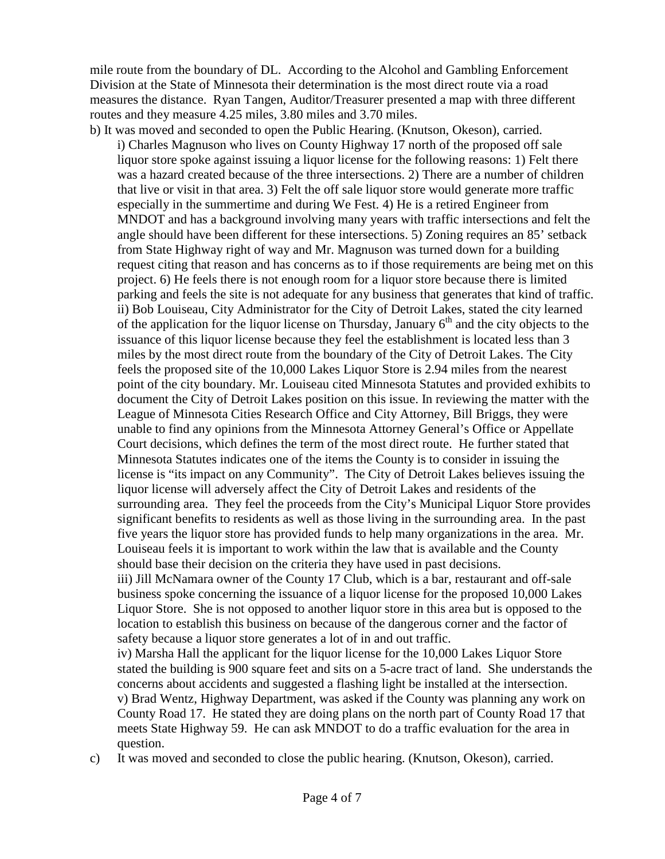mile route from the boundary of DL. According to the Alcohol and Gambling Enforcement Division at the State of Minnesota their determination is the most direct route via a road measures the distance. Ryan Tangen, Auditor/Treasurer presented a map with three different routes and they measure 4.25 miles, 3.80 miles and 3.70 miles.

b) It was moved and seconded to open the Public Hearing. (Knutson, Okeson), carried. i) Charles Magnuson who lives on County Highway 17 north of the proposed off sale liquor store spoke against issuing a liquor license for the following reasons: 1) Felt there was a hazard created because of the three intersections. 2) There are a number of children that live or visit in that area. 3) Felt the off sale liquor store would generate more traffic especially in the summertime and during We Fest. 4) He is a retired Engineer from MNDOT and has a background involving many years with traffic intersections and felt the angle should have been different for these intersections. 5) Zoning requires an 85' setback from State Highway right of way and Mr. Magnuson was turned down for a building request citing that reason and has concerns as to if those requirements are being met on this project. 6) He feels there is not enough room for a liquor store because there is limited parking and feels the site is not adequate for any business that generates that kind of traffic. ii) Bob Louiseau, City Administrator for the City of Detroit Lakes, stated the city learned of the application for the liquor license on Thursday, January  $6<sup>th</sup>$  and the city objects to the issuance of this liquor license because they feel the establishment is located less than 3 miles by the most direct route from the boundary of the City of Detroit Lakes. The City feels the proposed site of the 10,000 Lakes Liquor Store is 2.94 miles from the nearest point of the city boundary. Mr. Louiseau cited Minnesota Statutes and provided exhibits to document the City of Detroit Lakes position on this issue. In reviewing the matter with the League of Minnesota Cities Research Office and City Attorney, Bill Briggs, they were unable to find any opinions from the Minnesota Attorney General's Office or Appellate Court decisions, which defines the term of the most direct route. He further stated that Minnesota Statutes indicates one of the items the County is to consider in issuing the license is "its impact on any Community". The City of Detroit Lakes believes issuing the liquor license will adversely affect the City of Detroit Lakes and residents of the surrounding area. They feel the proceeds from the City's Municipal Liquor Store provides significant benefits to residents as well as those living in the surrounding area. In the past five years the liquor store has provided funds to help many organizations in the area. Mr. Louiseau feels it is important to work within the law that is available and the County should base their decision on the criteria they have used in past decisions. iii) Jill McNamara owner of the County 17 Club, which is a bar, restaurant and off-sale

business spoke concerning the issuance of a liquor license for the proposed 10,000 Lakes Liquor Store. She is not opposed to another liquor store in this area but is opposed to the location to establish this business on because of the dangerous corner and the factor of safety because a liquor store generates a lot of in and out traffic.

iv) Marsha Hall the applicant for the liquor license for the 10,000 Lakes Liquor Store stated the building is 900 square feet and sits on a 5-acre tract of land. She understands the concerns about accidents and suggested a flashing light be installed at the intersection. v) Brad Wentz, Highway Department, was asked if the County was planning any work on County Road 17. He stated they are doing plans on the north part of County Road 17 that meets State Highway 59. He can ask MNDOT to do a traffic evaluation for the area in question.

c) It was moved and seconded to close the public hearing. (Knutson, Okeson), carried.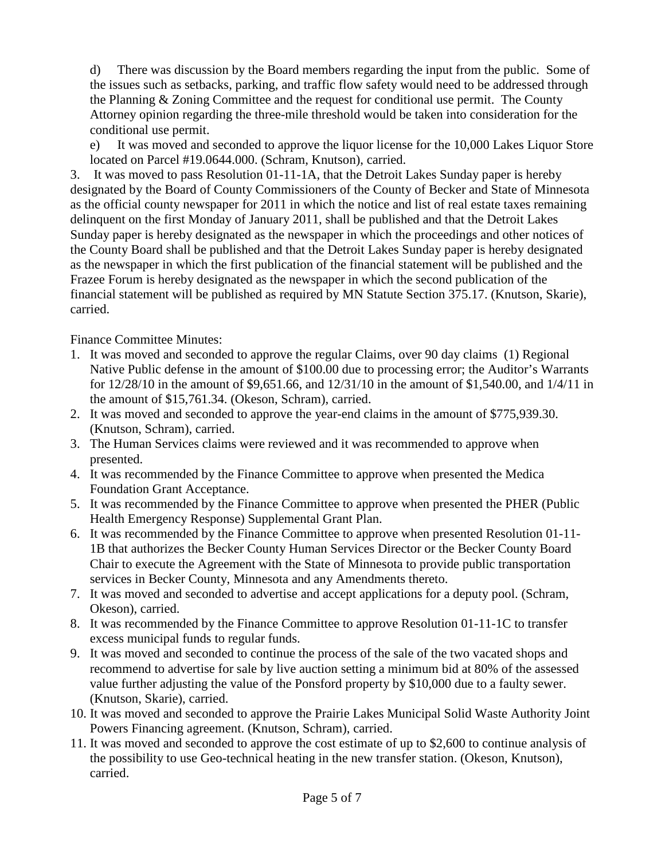d) There was discussion by the Board members regarding the input from the public. Some of the issues such as setbacks, parking, and traffic flow safety would need to be addressed through the Planning & Zoning Committee and the request for conditional use permit. The County Attorney opinion regarding the three-mile threshold would be taken into consideration for the conditional use permit.

e) It was moved and seconded to approve the liquor license for the 10,000 Lakes Liquor Store located on Parcel #19.0644.000. (Schram, Knutson), carried.

3. It was moved to pass Resolution 01-11-1A, that the Detroit Lakes Sunday paper is hereby designated by the Board of County Commissioners of the County of Becker and State of Minnesota as the official county newspaper for 2011 in which the notice and list of real estate taxes remaining delinquent on the first Monday of January 2011, shall be published and that the Detroit Lakes Sunday paper is hereby designated as the newspaper in which the proceedings and other notices of the County Board shall be published and that the Detroit Lakes Sunday paper is hereby designated as the newspaper in which the first publication of the financial statement will be published and the Frazee Forum is hereby designated as the newspaper in which the second publication of the financial statement will be published as required by MN Statute Section 375.17. (Knutson, Skarie), carried.

Finance Committee Minutes:

- 1. It was moved and seconded to approve the regular Claims, over 90 day claims (1) Regional Native Public defense in the amount of \$100.00 due to processing error; the Auditor's Warrants for 12/28/10 in the amount of \$9,651.66, and 12/31/10 in the amount of \$1,540.00, and 1/4/11 in the amount of \$15,761.34. (Okeson, Schram), carried.
- 2. It was moved and seconded to approve the year-end claims in the amount of \$775,939.30. (Knutson, Schram), carried.
- 3. The Human Services claims were reviewed and it was recommended to approve when presented.
- 4. It was recommended by the Finance Committee to approve when presented the Medica Foundation Grant Acceptance.
- 5. It was recommended by the Finance Committee to approve when presented the PHER (Public Health Emergency Response) Supplemental Grant Plan.
- 6. It was recommended by the Finance Committee to approve when presented Resolution 01-11- 1B that authorizes the Becker County Human Services Director or the Becker County Board Chair to execute the Agreement with the State of Minnesota to provide public transportation services in Becker County, Minnesota and any Amendments thereto.
- 7. It was moved and seconded to advertise and accept applications for a deputy pool. (Schram, Okeson), carried.
- 8. It was recommended by the Finance Committee to approve Resolution 01-11-1C to transfer excess municipal funds to regular funds.
- 9. It was moved and seconded to continue the process of the sale of the two vacated shops and recommend to advertise for sale by live auction setting a minimum bid at 80% of the assessed value further adjusting the value of the Ponsford property by \$10,000 due to a faulty sewer. (Knutson, Skarie), carried.
- 10. It was moved and seconded to approve the Prairie Lakes Municipal Solid Waste Authority Joint Powers Financing agreement. (Knutson, Schram), carried.
- 11. It was moved and seconded to approve the cost estimate of up to \$2,600 to continue analysis of the possibility to use Geo-technical heating in the new transfer station. (Okeson, Knutson), carried.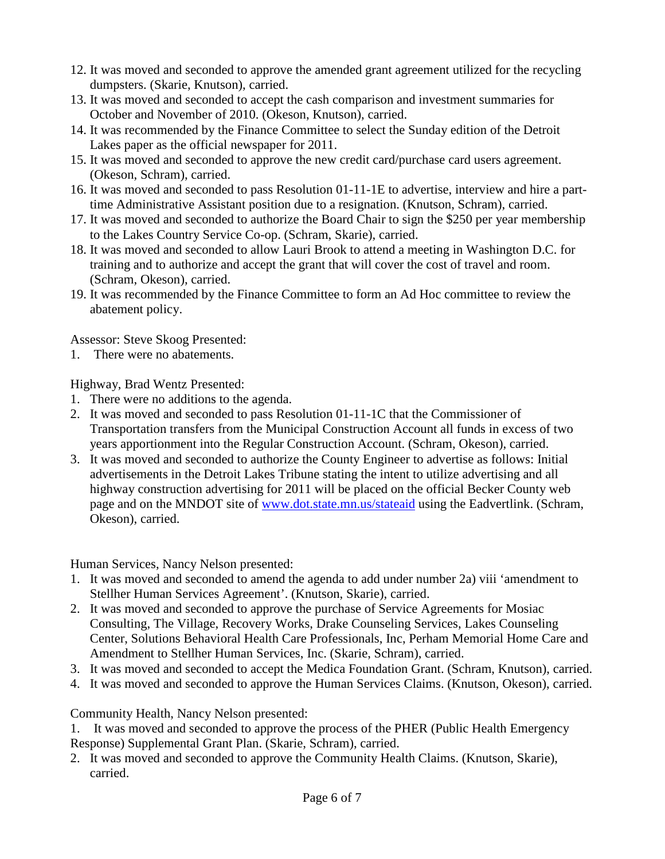- 12. It was moved and seconded to approve the amended grant agreement utilized for the recycling dumpsters. (Skarie, Knutson), carried.
- 13. It was moved and seconded to accept the cash comparison and investment summaries for October and November of 2010. (Okeson, Knutson), carried.
- 14. It was recommended by the Finance Committee to select the Sunday edition of the Detroit Lakes paper as the official newspaper for 2011.
- 15. It was moved and seconded to approve the new credit card/purchase card users agreement. (Okeson, Schram), carried.
- 16. It was moved and seconded to pass Resolution 01-11-1E to advertise, interview and hire a parttime Administrative Assistant position due to a resignation. (Knutson, Schram), carried.
- 17. It was moved and seconded to authorize the Board Chair to sign the \$250 per year membership to the Lakes Country Service Co-op. (Schram, Skarie), carried.
- 18. It was moved and seconded to allow Lauri Brook to attend a meeting in Washington D.C. for training and to authorize and accept the grant that will cover the cost of travel and room. (Schram, Okeson), carried.
- 19. It was recommended by the Finance Committee to form an Ad Hoc committee to review the abatement policy.

Assessor: Steve Skoog Presented:

1. There were no abatements.

Highway, Brad Wentz Presented:

- 1. There were no additions to the agenda.
- 2. It was moved and seconded to pass Resolution 01-11-1C that the Commissioner of Transportation transfers from the Municipal Construction Account all funds in excess of two years apportionment into the Regular Construction Account. (Schram, Okeson), carried.
- 3. It was moved and seconded to authorize the County Engineer to advertise as follows: Initial advertisements in the Detroit Lakes Tribune stating the intent to utilize advertising and all highway construction advertising for 2011 will be placed on the official Becker County web page and on the MNDOT site of www.dot.state.mn.us/stateaid using the Eadvertlink. (Schram, Okeson), carried.

Human Services, Nancy Nelson presented:

- 1. It was moved and seconded to amend the agenda to add under number 2a) viii 'amendment to Stellher Human Services Agreement'. (Knutson, Skarie), carried.
- 2. It was moved and seconded to approve the purchase of Service Agreements for Mosiac Consulting, The Village, Recovery Works, Drake Counseling Services, Lakes Counseling Center, Solutions Behavioral Health Care Professionals, Inc, Perham Memorial Home Care and Amendment to Stellher Human Services, Inc. (Skarie, Schram), carried.
- 3. It was moved and seconded to accept the Medica Foundation Grant. (Schram, Knutson), carried.
- 4. It was moved and seconded to approve the Human Services Claims. (Knutson, Okeson), carried.

Community Health, Nancy Nelson presented:

1. It was moved and seconded to approve the process of the PHER (Public Health Emergency Response) Supplemental Grant Plan. (Skarie, Schram), carried.

2. It was moved and seconded to approve the Community Health Claims. (Knutson, Skarie), carried.